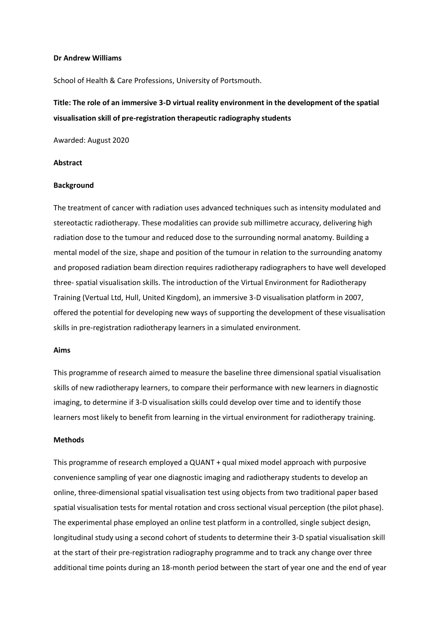#### **Dr Andrew Williams**

School of Health & Care Professions, University of Portsmouth.

# **Title: The role of an immersive 3-D virtual reality environment in the development of the spatial visualisation skill of pre-registration therapeutic radiography students**

Awarded: August 2020

### **Abstract**

#### **Background**

The treatment of cancer with radiation uses advanced techniques such as intensity modulated and stereotactic radiotherapy. These modalities can provide sub millimetre accuracy, delivering high radiation dose to the tumour and reduced dose to the surrounding normal anatomy. Building a mental model of the size, shape and position of the tumour in relation to the surrounding anatomy and proposed radiation beam direction requires radiotherapy radiographers to have well developed three- spatial visualisation skills. The introduction of the Virtual Environment for Radiotherapy Training (Vertual Ltd, Hull, United Kingdom), an immersive 3-D visualisation platform in 2007, offered the potential for developing new ways of supporting the development of these visualisation skills in pre-registration radiotherapy learners in a simulated environment.

#### **Aims**

This programme of research aimed to measure the baseline three dimensional spatial visualisation skills of new radiotherapy learners, to compare their performance with new learners in diagnostic imaging, to determine if 3-D visualisation skills could develop over time and to identify those learners most likely to benefit from learning in the virtual environment for radiotherapy training.

## **Methods**

This programme of research employed a QUANT + qual mixed model approach with purposive convenience sampling of year one diagnostic imaging and radiotherapy students to develop an online, three-dimensional spatial visualisation test using objects from two traditional paper based spatial visualisation tests for mental rotation and cross sectional visual perception (the pilot phase). The experimental phase employed an online test platform in a controlled, single subject design, longitudinal study using a second cohort of students to determine their 3-D spatial visualisation skill at the start of their pre-registration radiography programme and to track any change over three additional time points during an 18-month period between the start of year one and the end of year